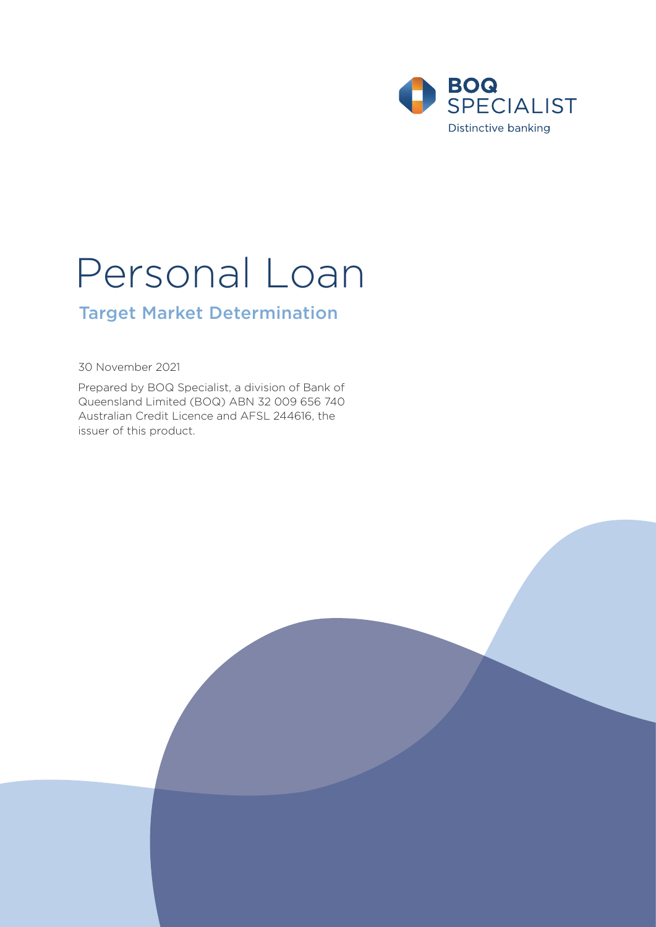

# Personal Loan

# Target Market Determination

30 November 2021

Prepared by BOQ Specialist, a division of Bank of Queensland Limited (BOQ) ABN 32 009 656 740 Australian Credit Licence and AFSL 244616, the issuer of this product.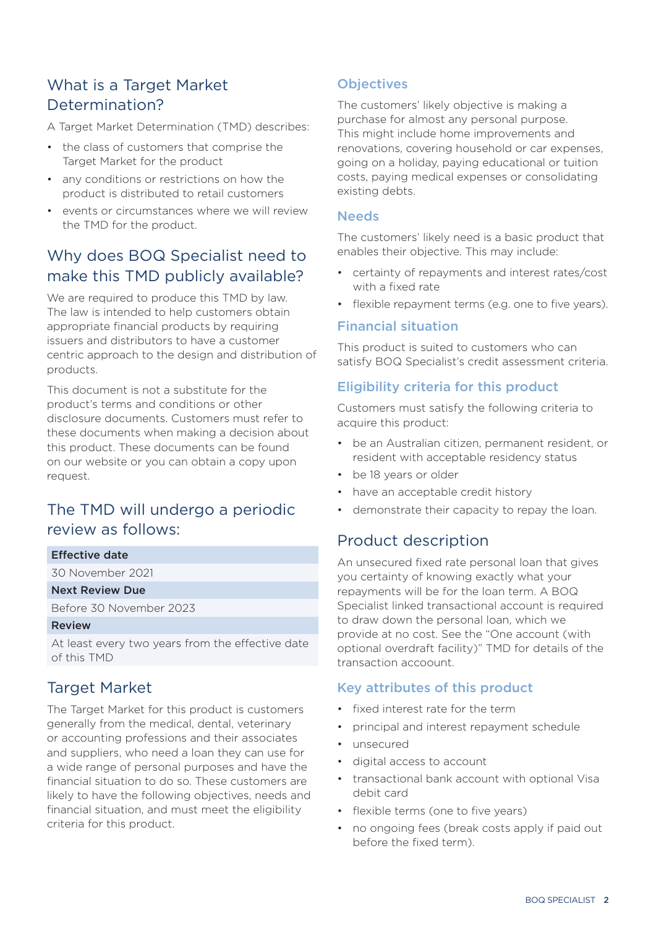# What is a Target Market Determination?

A Target Market Determination (TMD) describes:

- the class of customers that comprise the Target Market for the product
- any conditions or restrictions on how the product is distributed to retail customers
- events or circumstances where we will review the TMD for the product.

# Why does BOQ Specialist need to make this TMD publicly available?

We are required to produce this TMD by law. The law is intended to help customers obtain appropriate financial products by requiring issuers and distributors to have a customer centric approach to the design and distribution of products.

This document is not a substitute for the product's terms and conditions or other disclosure documents. Customers must refer to these documents when making a decision about this product. These documents can be found on our website or you can obtain a copy upon request.

# The TMD will undergo a periodic review as follows:

#### Effective date

30 November 2021

#### Next Review Due

Before 30 November 2023

#### Review

At least every two years from the effective date of this TMD

## Target Market

The Target Market for this product is customers generally from the medical, dental, veterinary or accounting professions and their associates and suppliers, who need a loan they can use for a wide range of personal purposes and have the financial situation to do so. These customers are likely to have the following objectives, needs and financial situation, and must meet the eligibility criteria for this product.

## **Objectives**

The customers' likely objective is making a purchase for almost any personal purpose. This might include home improvements and renovations, covering household or car expenses, going on a holiday, paying educational or tuition costs, paying medical expenses or consolidating existing debts.

#### **Needs**

The customers' likely need is a basic product that enables their objective. This may include:

- certainty of repayments and interest rates/cost with a fixed rate
- flexible repayment terms (e.g. one to five years).

#### Financial situation

This product is suited to customers who can satisfy BOQ Specialist's credit assessment criteria.

#### Eligibility criteria for this product

Customers must satisfy the following criteria to acquire this product:

- be an Australian citizen, permanent resident, or resident with acceptable residency status
- be 18 years or older
- have an acceptable credit history
- demonstrate their capacity to repay the loan.

## Product description

An unsecured fixed rate personal loan that gives you certainty of knowing exactly what your repayments will be for the loan term. A BOQ Specialist linked transactional account is required to draw down the personal loan, which we provide at no cost. See the "One account (with optional overdraft facility)" TMD for details of the transaction accoount.

#### Key attributes of this product

- fixed interest rate for the term
- principal and interest repayment schedule
- unsecured
- digital access to account
- transactional bank account with optional Visa debit card
- flexible terms (one to five years)
- no ongoing fees (break costs apply if paid out before the fixed term).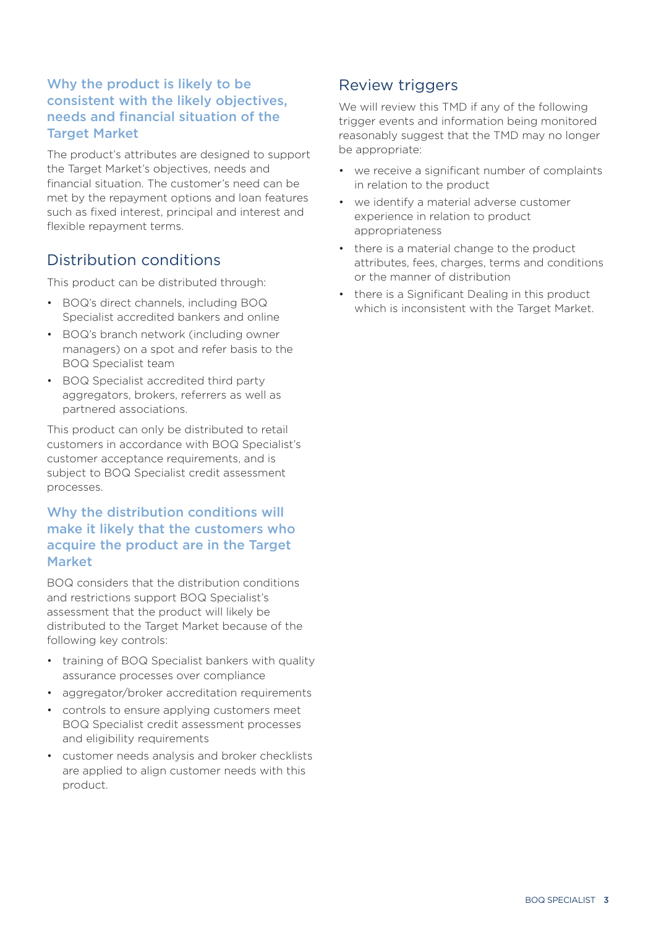## Why the product is likely to be consistent with the likely objectives, needs and financial situation of the Target Market

The product's attributes are designed to support the Target Market's objectives, needs and financial situation. The customer's need can be met by the repayment options and loan features such as fixed interest, principal and interest and flexible repayment terms.

## Distribution conditions

This product can be distributed through:

- BOQ's direct channels, including BOQ Specialist accredited bankers and online
- BOQ's branch network (including owner managers) on a spot and refer basis to the BOQ Specialist team
- BOQ Specialist accredited third party aggregators, brokers, referrers as well as partnered associations.

This product can only be distributed to retail customers in accordance with BOQ Specialist's customer acceptance requirements, and is subject to BOQ Specialist credit assessment processes.

## Why the distribution conditions will make it likely that the customers who acquire the product are in the Target Market

BOQ considers that the distribution conditions and restrictions support BOQ Specialist's assessment that the product will likely be distributed to the Target Market because of the following key controls:

- training of BOQ Specialist bankers with quality assurance processes over compliance
- aggregator/broker accreditation requirements
- controls to ensure applying customers meet BOQ Specialist credit assessment processes and eligibility requirements
- customer needs analysis and broker checklists are applied to align customer needs with this product.

## Review triggers

We will review this TMD if any of the following trigger events and information being monitored reasonably suggest that the TMD may no longer be appropriate:

- we receive a significant number of complaints in relation to the product
- we identify a material adverse customer experience in relation to product appropriateness
- there is a material change to the product attributes, fees, charges, terms and conditions or the manner of distribution
- there is a Significant Dealing in this product which is inconsistent with the Target Market.